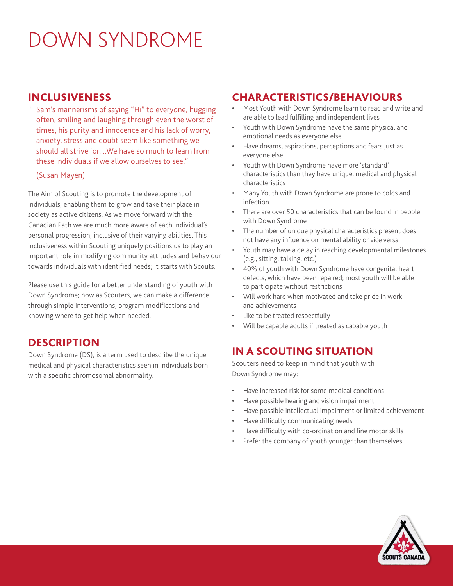# DOWN SYNDROME

#### INCLUSIVENESS

Sam's mannerisms of saying "Hi" to everyone, hugging often, smiling and laughing through even the worst of times, his purity and innocence and his lack of worry, anxiety, stress and doubt seem like something we should all strive for....We have so much to learn from these individuals if we allow ourselves to see."

#### (Susan Mayen)

The Aim of Scouting is to promote the development of individuals, enabling them to grow and take their place in society as active citizens. As we move forward with the Canadian Path we are much more aware of each individual's personal progression, inclusive of their varying abilities. This inclusiveness within Scouting uniquely positions us to play an important role in modifying community attitudes and behaviour towards individuals with identified needs; it starts with Scouts.

Please use this guide for a better understanding of youth with Down Syndrome; how as Scouters, we can make a difference through simple interventions, program modifications and knowing where to get help when needed.

### **DESCRIPTION**

Down Syndrome (DS), is a term used to describe the unique medical and physical characteristics seen in individuals born with a specific chromosomal abnormality.

#### CHARACTERISTICS/BEHAVIOURS

- Most Youth with Down Syndrome learn to read and write and are able to lead fulfilling and independent lives
- Youth with Down Syndrome have the same physical and emotional needs as everyone else
- Have dreams, aspirations, perceptions and fears just as everyone else
- Youth with Down Syndrome have more 'standard' characteristics than they have unique, medical and physical characteristics
- Many Youth with Down Syndrome are prone to colds and infection.
- There are over 50 characteristics that can be found in people with Down Syndrome
- The number of unique physical characteristics present does not have any influence on mental ability or vice versa
- Youth may have a delay in reaching developmental milestones (e.g., sitting, talking, etc.)
- 40% of youth with Down Syndrome have congenital heart defects, which have been repaired; most youth will be able to participate without restrictions
- Will work hard when motivated and take pride in work and achievements
- Like to be treated respectfully
- Will be capable adults if treated as capable youth

### IN A SCOUTING SITUATION

Scouters need to keep in mind that youth with Down Syndrome may:

- Have increased risk for some medical conditions
- Have possible hearing and vision impairment
- Have possible intellectual impairment or limited achievement
- Have difficulty communicating needs
- Have difficulty with co-ordination and fine motor skills
- Prefer the company of youth younger than themselves